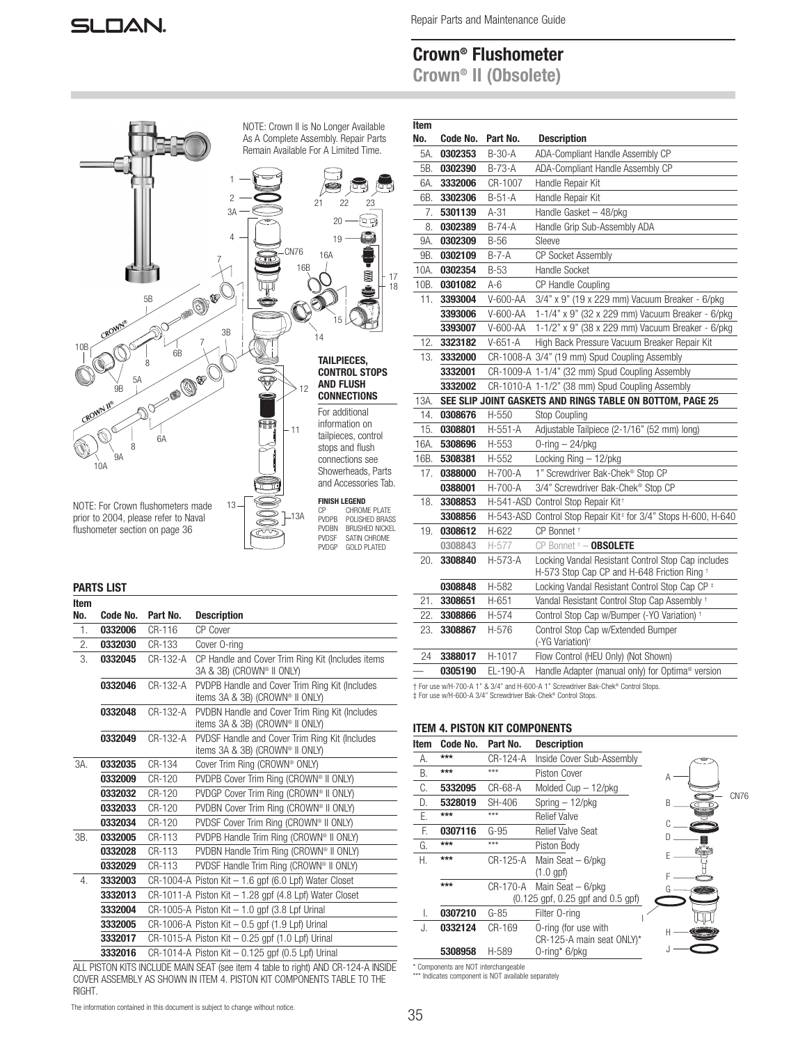Repair Parts and Maintenance Guide

# Crown® Flushometer

Crown® II (Obsolete)



#### PARTS LIST

| Item |          |          |                                                                                   |
|------|----------|----------|-----------------------------------------------------------------------------------|
| No.  | Code No. | Part No. | <b>Description</b>                                                                |
| 1.   | 0332006  | CR-116   | CP Cover                                                                          |
| 2.   | 0332030  | CR-133   | Cover O-ring                                                                      |
| 3.   | 0332045  | CR-132-A | CP Handle and Cover Trim Ring Kit (Includes items<br>3A & 3B) (CROWN® II ONLY)    |
|      | 0332046  | CR-132-A | PVDPB Handle and Cover Trim Ring Kit (Includes<br>items 3A & 3B) (CROWN® Ⅱ ONLY)  |
|      | 0332048  | CR-132-A | PVDBN Handle and Cover Trim Ring Kit (Includes<br>items 3A & 3B) (CROWN® Ⅱ ONLY)  |
|      | 0332049  | CR-132-A | PVDSF Handle and Cover Trim Ring Kit (Includes<br>items 3A & 3B) (CROWN® II ONLY) |
| 3A.  | 0332035  | CR-134   | Cover Trim Ring (CROWN® ONLY)                                                     |
|      | 0332009  | CR-120   | PVDPB Cover Trim Ring (CROWN® II ONLY)                                            |
|      | 0332032  | CR-120   | PVDGP Cover Trim Ring (CROWN® II ONLY)                                            |
|      | 0332033  | CR-120   | PVDBN Cover Trim Ring (CROWN® II ONLY)                                            |
|      | 0332034  | CR-120   | PVDSF Cover Trim Ring (CROWN® Ⅱ ONLY)                                             |
| 3B.  | 0332005  | CR-113   | PVDPB Handle Trim Ring (CROWN® II ONLY)                                           |
|      | 0332028  | CR-113   | PVDBN Handle Trim Ring (CROWN® II ONLY)                                           |
|      | 0332029  | CR-113   | PVDSF Handle Trim Ring (CROWN® II ONLY)                                           |
| 4.   | 3332003  |          | $CR-1004-A$ Piston Kit $-1.6$ gpf (6.0 Lpf) Water Closet                          |
|      | 3332013  |          | CR-1011-A Piston Kit - 1.28 gpf (4.8 Lpf) Water Closet                            |
|      | 3332004  |          | CR-1005-A Piston Kit $-1.0$ gpf (3.8 Lpf Urinal                                   |
|      | 3332005  |          | $CR-1006-A$ Piston Kit $-0.5$ gpf (1.9 Lpf) Urinal                                |
|      | 3332017  |          | CR-1015-A Piston Kit $-0.25$ gpf (1.0 Lpf) Urinal                                 |
|      | 3332016  |          | CR-1014-A Piston Kit - 0.125 gpf (0.5 Lpf) Urinal                                 |

ALL PISTON KITS INCLUDE MAIN SEAT (see item 4 table to right) AND CR-124-A INSIDE COVER ASSEMBLY AS SHOWN IN ITEM 4. PISTON KIT COMPONENTS TABLE TO THE RIGHT.

| ltem<br>No. | Code No.           | Part No.          | <b>Description</b>                                                                                |
|-------------|--------------------|-------------------|---------------------------------------------------------------------------------------------------|
| 5A.         | 0302353            | $B-30-A$          | ADA-Compliant Handle Assembly CP                                                                  |
| 5B.         | 0302390            | $B-73-A$          | ADA-Compliant Handle Assembly CP                                                                  |
|             |                    |                   |                                                                                                   |
| 6A.<br>6B.  | 3332006<br>3302306 | CR-1007<br>B-51-A | Handle Repair Kit<br>Handle Repair Kit                                                            |
|             | 5301139            | $A-31$            |                                                                                                   |
| 7.<br>8.    | 0302389            | B-74-A            | Handle Gasket - 48/pkg<br>Handle Grip Sub-Assembly ADA                                            |
| 9A.         | 0302309            | $B-56$            | Sleeve                                                                                            |
| 9B.         | 0302109            | B-7-A             | CP Socket Assembly                                                                                |
| 10A.        | 0302354            | B-53              | Handle Socket                                                                                     |
| 10B.        | 0301082            | A-6               | CP Handle Coupling                                                                                |
| 11.         | 3393004            | V-600-AA          | 3/4" x 9" (19 x 229 mm) Vacuum Breaker - 6/pkg                                                    |
|             | 3393006            | V-600-AA          | 1-1/4" x 9" (32 x 229 mm) Vacuum Breaker - 6/pkg                                                  |
|             | 3393007            | V-600-AA          | 1-1/2" x 9" (38 x 229 mm) Vacuum Breaker - 6/pkg                                                  |
| 12.         | 3323182            | $V-651-A$         | High Back Pressure Vacuum Breaker Repair Kit                                                      |
| 13.         | 3332000            |                   | CR-1008-A 3/4" (19 mm) Spud Coupling Assembly                                                     |
|             | 3332001            |                   | CR-1009-A 1-1/4" (32 mm) Spud Coupling Assembly                                                   |
|             | 3332002            |                   | CR-1010-A 1-1/2" (38 mm) Spud Coupling Assembly                                                   |
| 13A.        |                    |                   | SEE SLIP JOINT GASKETS AND RINGS TABLE ON BOTTOM, PAGE 25                                         |
| 14.         | 0308676            | H-550             | Stop Coupling                                                                                     |
| 15.         | 0308801            | $H-551-A$         | Adjustable Tailpiece (2-1/16" (52 mm) long)                                                       |
| 16A.        | 5308696            | H-553             | $0$ -ring $-$ 24/pkg                                                                              |
| 16B.        | 5308381            | H-552             | Locking Ring - 12/pkg                                                                             |
| 17.         | 0388000            | H-700-A           | 1" Screwdriver Bak-Chek® Stop CP                                                                  |
|             | 0388001            | H-700-A           | 3/4" Screwdriver Bak-Chek® Stop CP                                                                |
| 18.         | 3308853            |                   | H-541-ASD Control Stop Repair Kit <sup>+</sup>                                                    |
|             | 3308856            |                   | H-543-ASD Control Stop Repair Kit <sup>+</sup> for 3/4" Stops H-600, H-640                        |
| 19.         | 0308612            | H-622             | CP Bonnet <sup>+</sup>                                                                            |
|             | 0308843            | H-577             | CP Bonnet # - OBSOLETE                                                                            |
| 20.         | 3308840            | H-573-A           | Locking Vandal Resistant Control Stop Cap includes<br>H-573 Stop Cap CP and H-648 Friction Ring + |
|             | 0308848            | H-582             | Locking Vandal Resistant Control Stop Cap CP #                                                    |
| 21.         | 3308651            | H-651             | Vandal Resistant Control Stop Cap Assembly +                                                      |
| 22.         | 3308866            | H-574             | Control Stop Cap w/Bumper (-YO Variation) +                                                       |
| 23.         | 3308867            | H-576             | Control Stop Cap w/Extended Bumper<br>(-YG Variation) <sup>+</sup>                                |
| 24          | 3388017            | H-1017            | Flow Control (HEU Only) (Not Shown)                                                               |
|             | 0305190            | EL-190-A          | Handle Adapter (manual only) for Optima <sup>®</sup> version                                      |

† For use w/H-700-A 1'' & 3/4" and H-600-A 1'' Screwdriver Bak-Chek® Control Stops.

‡ For use w/H-600-A 3/4" Screwdriver Bak-Chek® Control Stops.

#### ITEM 4. PISTON KIT COMPONENTS

| Item | Code No. | Part No. | <b>Description</b>                |           |
|------|----------|----------|-----------------------------------|-----------|
| А.   | ***      | CR-124-A | Inside Cover Sub-Assembly         |           |
| B.   | ***      | ***      | Piston Cover                      | Α         |
| C.   | 5332095  | CR-68-A  | Molded Cup - 12/pkg               |           |
| D.   | 5328019  | SH-406   | Spring $-12$ /pkg                 | CN76<br>R |
| E.   | ***      | ***      | <b>Relief Valve</b>               |           |
| F.   | 0307116  | $G-95$   | <b>Relief Valve Seat</b>          |           |
| G.   | ***      | ***      | Piston Body                       |           |
| Н.   | ***      | CR-125-A | Main Seat $-6$ /pkg               |           |
|      |          |          | $(1.0$ gpf $)$                    |           |
|      | $***$    | CR-170-A | Main Seat $-6$ /pkg               |           |
|      |          |          | (0.125 gpf, 0.25 gpf and 0.5 gpf) |           |
| I.   | 0307210  | $G-85$   | Filter O-ring                     |           |
| J.   | 0332124  | CR-169   | O-ring (for use with              |           |
|      |          |          | CR-125-A main seat ONLY)*         |           |
|      | 5308958  | H-589    | 0-ring* 6/pkg                     |           |

\* Components are NOT interchangeable \*\*\* Indicates component is NOT available separately

#### The information contained in this document is subject to change without notice.